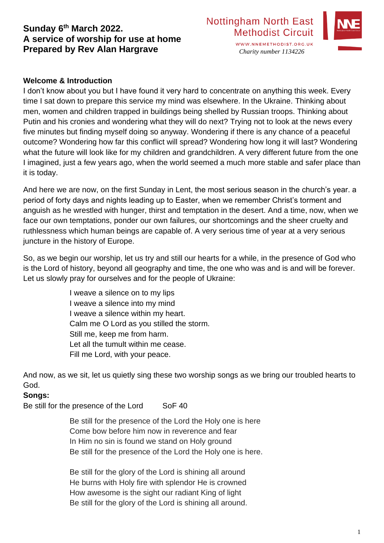# **Sunday 6 th March 2022. A service of worship for use at home Prepared by Rev Alan Hargrave**

# **Nottingham North East Methodist Circuit**

WWW.NNEMETHODIST.ORG.UK *Charity number 1134226*



# **Welcome & Introduction**

I don't know about you but I have found it very hard to concentrate on anything this week. Every time I sat down to prepare this service my mind was elsewhere. In the Ukraine. Thinking about men, women and children trapped in buildings being shelled by Russian troops. Thinking about Putin and his cronies and wondering what they will do next? Trying not to look at the news every five minutes but finding myself doing so anyway. Wondering if there is any chance of a peaceful outcome? Wondering how far this conflict will spread? Wondering how long it will last? Wondering what the future will look like for my children and grandchildren. A very different future from the one I imagined, just a few years ago, when the world seemed a much more stable and safer place than it is today.

And here we are now, on the first Sunday in Lent, the most serious season in the church's year. a period of forty days and nights leading up to Easter, when we remember Christ's torment and anguish as he wrestled with hunger, thirst and temptation in the desert. And a time, now, when we face our own temptations, ponder our own failures, our shortcomings and the sheer cruelty and ruthlessness which human beings are capable of. A very serious time of year at a very serious juncture in the history of Europe.

So, as we begin our worship, let us try and still our hearts for a while, in the presence of God who is the Lord of history, beyond all geography and time, the one who was and is and will be forever. Let us slowly pray for ourselves and for the people of Ukraine:

> I weave a silence on to my lips I weave a silence into my mind I weave a silence within my heart. Calm me O Lord as you stilled the storm. Still me, keep me from harm. Let all the tumult within me cease. Fill me Lord, with your peace.

And now, as we sit, let us quietly sing these two worship songs as we bring our troubled hearts to God.

# **Songs:**

Be still for the presence of the Lord SoF 40

Be still for the presence of the Lord the Holy one is here Come bow before him now in reverence and fear In Him no sin is found we stand on Holy ground Be still for the presence of the Lord the Holy one is here.

Be still for the glory of the Lord is shining all around He burns with Holy fire with splendor He is crowned How awesome is the sight our radiant King of light Be still for the glory of the Lord is shining all around.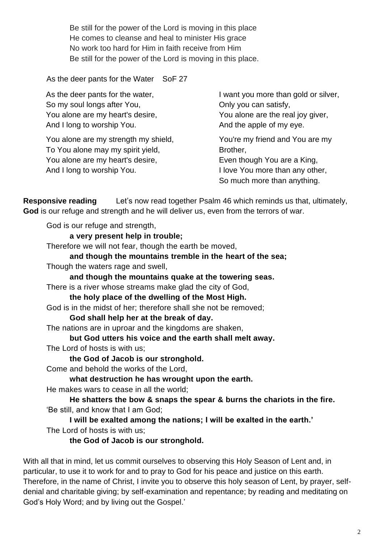Be still for the power of the Lord is moving in this place He comes to cleanse and heal to minister His grace No work too hard for Him in faith receive from Him Be still for the power of the Lord is moving in this place.

As the deer pants for the Water SoF 27

As the deer pants for the water, So my soul longs after You, You alone are my heart's desire, And I long to worship You.

You alone are my strength my shield, To You alone may my spirit yield, You alone are my heart's desire, And I long to worship You.

I want you more than gold or silver, Only you can satisfy, You alone are the real joy giver, And the apple of my eye.

You're my friend and You are my Brother, Even though You are a King,

I love You more than any other, So much more than anything.

**Responsive reading** Let's now read together Psalm 46 which reminds us that, ultimately, **God** is our refuge and strength and he will deliver us, even from the terrors of war.

God is our refuge and strength, **a very present help in trouble;** Therefore we will not fear, though the earth be moved, **and though the mountains tremble in the heart of the sea;** Though the waters rage and swell, **and though the mountains quake at the towering seas.** There is a river whose streams make glad the city of God, **the holy place of the dwelling of the Most High.** God is in the midst of her; therefore shall she not be removed; **God shall help her at the break of day.** The nations are in uproar and the kingdoms are shaken, **but God utters his voice and the earth shall melt away.** The Lord of hosts is with us; **the God of Jacob is our stronghold.** Come and behold the works of the Lord, **what destruction he has wrought upon the earth.** He makes wars to cease in all the world; **He shatters the bow & snaps the spear & burns the chariots in the fire.** 'Be still, and know that I am God; **I will be exalted among the nations; I will be exalted in the earth.'**

The Lord of hosts is with us;

**the God of Jacob is our stronghold.**

With all that in mind, let us commit ourselves to observing this Holy Season of Lent and, in particular, to use it to work for and to pray to God for his peace and justice on this earth. Therefore, in the name of Christ, I invite you to observe this holy season of Lent, by prayer, selfdenial and charitable giving; by self-examination and repentance; by reading and meditating on God's Holy Word; and by living out the Gospel.'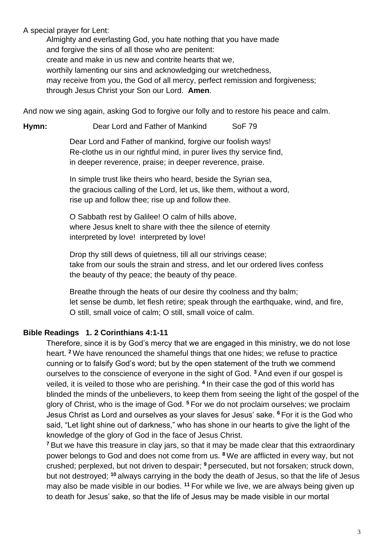## A special prayer for Lent:

Almighty and everlasting God, you hate nothing that you have made and forgive the sins of all those who are penitent: create and make in us new and contrite hearts that we, worthily lamenting our sins and acknowledging our wretchedness, may receive from you, the God of all mercy, perfect remission and forgiveness; through Jesus Christ your Son our Lord. **Amen**.

And now we sing again, asking God to forgive our folly and to restore his peace and calm.

**Hymn:** Dear Lord and Father of Mankind SoF 79

Dear Lord and Father of mankind, forgive our foolish ways! Re-clothe us in our rightful mind, in purer lives thy service find, in deeper reverence, praise; in deeper reverence, praise.

In simple trust like theirs who heard, beside the Syrian sea, the gracious calling of the Lord, let us, like them, without a word, rise up and follow thee; rise up and follow thee.

O Sabbath rest by Galilee! O calm of hills above, where Jesus knelt to share with thee the silence of eternity interpreted by love! interpreted by love!

Drop thy still dews of quietness, till all our strivings cease; take from our souls the strain and stress, and let our ordered lives confess the beauty of thy peace; the beauty of thy peace.

Breathe through the heats of our desire thy coolness and thy balm; let sense be dumb, let flesh retire; speak through the earthquake, wind, and fire, O still, small voice of calm; O still, small voice of calm.

#### **Bible Readings 1. 2 Corinthians 4:1-11**

Therefore, since it is by God's mercy that we are engaged in this ministry, we do not lose heart. **<sup>2</sup>** We have renounced the shameful things that one hides; we refuse to practice cunning or to falsify God's word; but by the open statement of the truth we commend ourselves to the conscience of everyone in the sight of God. **<sup>3</sup>** And even if our gospel is veiled, it is veiled to those who are perishing. **<sup>4</sup>** In their case the god of this world has blinded the minds of the unbelievers, to keep them from seeing the light of the gospel of the glory of Christ, who is the image of God. **<sup>5</sup>** For we do not proclaim ourselves; we proclaim Jesus Christ as Lord and ourselves as your slaves for Jesus' sake. **<sup>6</sup>** For it is the God who said, "Let light shine out of darkness," who has shone in our hearts to give the light of the knowledge of the glory of God in the face of Jesus Christ.

**<sup>7</sup>** But we have this treasure in clay jars, so that it may be made clear that this extraordinary power belongs to God and does not come from us. **<sup>8</sup>** We are afflicted in every way, but not crushed; perplexed, but not driven to despair; **<sup>9</sup>** persecuted, but not forsaken; struck down, but not destroyed; **<sup>10</sup>** always carrying in the body the death of Jesus, so that the life of Jesus may also be made visible in our bodies. **<sup>11</sup>** For while we live, we are always being given up to death for Jesus' sake, so that the life of Jesus may be made visible in our mortal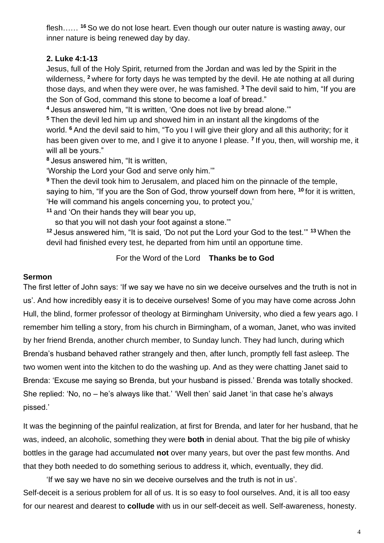flesh…… **<sup>16</sup>** So we do not lose heart. Even though our outer nature is wasting away, our inner nature is being renewed day by day.

# **2. Luke 4:1-13**

Jesus, full of the Holy Spirit, returned from the Jordan and was led by the Spirit in the wilderness, **<sup>2</sup>** where for forty days he was tempted by the devil. He ate nothing at all during those days, and when they were over, he was famished. **<sup>3</sup>** The devil said to him, "If you are the Son of God, command this stone to become a loaf of bread."

**<sup>4</sup>** Jesus answered him, "It is written, 'One does not live by bread alone.'"

**<sup>5</sup>** Then the devil led him up and showed him in an instant all the kingdoms of the world. **<sup>6</sup>** And the devil said to him, "To you I will give their glory and all this authority; for it has been given over to me, and I give it to anyone I please. **<sup>7</sup>** If you, then, will worship me, it will all be yours."

**<sup>8</sup>** Jesus answered him, "It is written,

'Worship the Lord your God and serve only him.'"

**<sup>9</sup>** Then the devil took him to Jerusalem, and placed him on the pinnacle of the temple, saying to him, "If you are the Son of God, throw yourself down from here, **<sup>10</sup>** for it is written, 'He will command his angels concerning you, to protect you,'

**<sup>11</sup>** and 'On their hands they will bear you up,

so that you will not dash your foot against a stone.'"

**<sup>12</sup>** Jesus answered him, "It is said, 'Do not put the Lord your God to the test.'" **<sup>13</sup>** When the devil had finished every test, he departed from him until an opportune time.

#### For the Word of the Lord **Thanks be to God**

#### **Sermon**

The first letter of John says: 'If we say we have no sin we deceive ourselves and the truth is not in us'. And how incredibly easy it is to deceive ourselves! Some of you may have come across John Hull, the blind, former professor of theology at Birmingham University, who died a few years ago. I remember him telling a story, from his church in Birmingham, of a woman, Janet, who was invited by her friend Brenda, another church member, to Sunday lunch. They had lunch, during which Brenda's husband behaved rather strangely and then, after lunch, promptly fell fast asleep. The two women went into the kitchen to do the washing up. And as they were chatting Janet said to Brenda: 'Excuse me saying so Brenda, but your husband is pissed.' Brenda was totally shocked. She replied: 'No, no – he's always like that.' 'Well then' said Janet 'in that case he's always pissed.'

It was the beginning of the painful realization, at first for Brenda, and later for her husband, that he was, indeed, an alcoholic, something they were **both** in denial about. That the big pile of whisky bottles in the garage had accumulated **not** over many years, but over the past few months. And that they both needed to do something serious to address it, which, eventually, they did.

'If we say we have no sin we deceive ourselves and the truth is not in us'. Self-deceit is a serious problem for all of us. It is so easy to fool ourselves. And, it is all too easy for our nearest and dearest to **collude** with us in our self-deceit as well. Self-awareness, honesty.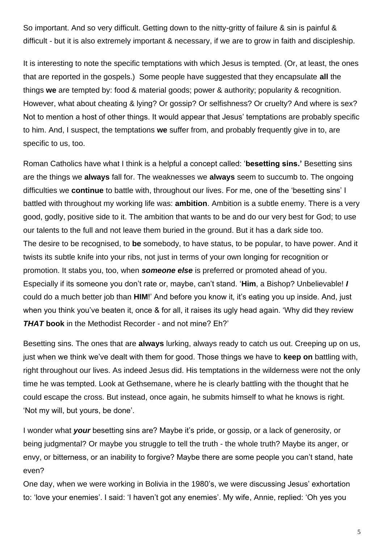So important. And so very difficult. Getting down to the nitty-gritty of failure & sin is painful & difficult - but it is also extremely important & necessary, if we are to grow in faith and discipleship.

It is interesting to note the specific temptations with which Jesus is tempted. (Or, at least, the ones that are reported in the gospels.) Some people have suggested that they encapsulate **all** the things **we** are tempted by: food & material goods; power & authority; popularity & recognition. However, what about cheating & lying? Or gossip? Or selfishness? Or cruelty? And where is sex? Not to mention a host of other things. It would appear that Jesus' temptations are probably specific to him. And, I suspect, the temptations **we** suffer from, and probably frequently give in to, are specific to us, too.

Roman Catholics have what I think is a helpful a concept called: '**besetting sins.'** Besetting sins are the things we **always** fall for. The weaknesses we **always** seem to succumb to. The ongoing difficulties we **continue** to battle with, throughout our lives. For me, one of the 'besetting sins' I battled with throughout my working life was: **ambition**. Ambition is a subtle enemy. There is a very good, godly, positive side to it. The ambition that wants to be and do our very best for God; to use our talents to the full and not leave them buried in the ground. But it has a dark side too. The desire to be recognised, to **be** somebody, to have status, to be popular, to have power. And it twists its subtle knife into your ribs, not just in terms of your own longing for recognition or promotion. It stabs you, too, when *someone else* is preferred or promoted ahead of you. Especially if its someone you don't rate or, maybe, can't stand. '**Him**, a Bishop? Unbelievable! *I* could do a much better job than **HIM**!' And before you know it, it's eating you up inside. And, just when you think you've beaten it, once & for all, it raises its ugly head again. 'Why did they review *THAT* **book** in the Methodist Recorder - and not mine? Eh?'

Besetting sins. The ones that are **always** lurking, always ready to catch us out. Creeping up on us, just when we think we've dealt with them for good. Those things we have to **keep on** battling with, right throughout our lives. As indeed Jesus did. His temptations in the wilderness were not the only time he was tempted. Look at Gethsemane, where he is clearly battling with the thought that he could escape the cross. But instead, once again, he submits himself to what he knows is right. 'Not my will, but yours, be done'.

I wonder what *your* besetting sins are? Maybe it's pride, or gossip, or a lack of generosity, or being judgmental? Or maybe you struggle to tell the truth - the whole truth? Maybe its anger, or envy, or bitterness, or an inability to forgive? Maybe there are some people you can't stand, hate even?

One day, when we were working in Bolivia in the 1980's, we were discussing Jesus' exhortation to: 'love your enemies'. I said: 'I haven't got any enemies'. My wife, Annie, replied: 'Oh yes you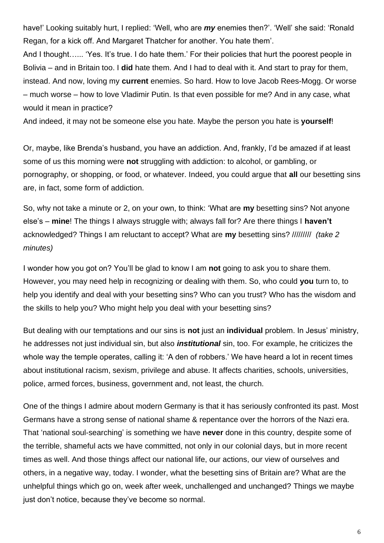have!' Looking suitably hurt, I replied: 'Well, who are *my* enemies then?'. 'Well' she said: 'Ronald Regan, for a kick off. And Margaret Thatcher for another. You hate them'.

And I thought…... 'Yes. It's true. I do hate them.' For their policies that hurt the poorest people in Bolivia – and in Britain too. I **did** hate them. And I had to deal with it. And start to pray for them, instead. And now, loving my **current** enemies. So hard. How to love Jacob Rees-Mogg. Or worse – much worse – how to love Vladimir Putin. Is that even possible for me? And in any case, what would it mean in practice?

And indeed, it may not be someone else you hate. Maybe the person you hate is **yourself**!

Or, maybe, like Brenda's husband, you have an addiction. And, frankly, I'd be amazed if at least some of us this morning were **not** struggling with addiction: to alcohol, or gambling, or pornography, or shopping, or food, or whatever. Indeed, you could argue that **all** our besetting sins are, in fact, some form of addiction.

So, why not take a minute or 2, on your own, to think: 'What are **my** besetting sins? Not anyone else's – **mine**! The things I always struggle with; always fall for? Are there things I **haven't** acknowledged? Things I am reluctant to accept? What are **my** besetting sins? ///////// *(take 2 minutes)*

I wonder how you got on? You'll be glad to know I am **not** going to ask you to share them. However, you may need help in recognizing or dealing with them. So, who could **you** turn to, to help you identify and deal with your besetting sins? Who can you trust? Who has the wisdom and the skills to help you? Who might help you deal with your besetting sins?

But dealing with our temptations and our sins is **not** just an **individual** problem. In Jesus' ministry, he addresses not just individual sin, but also *institutional* sin, too. For example, he criticizes the whole way the temple operates, calling it: 'A den of robbers.' We have heard a lot in recent times about institutional racism, sexism, privilege and abuse. It affects charities, schools, universities, police, armed forces, business, government and, not least, the church.

One of the things I admire about modern Germany is that it has seriously confronted its past. Most Germans have a strong sense of national shame & repentance over the horrors of the Nazi era. That 'national soul-searching' is something we have **never** done in this country, despite some of the terrible, shameful acts we have committed, not only in our colonial days, but in more recent times as well. And those things affect our national life, our actions, our view of ourselves and others, in a negative way, today. I wonder, what the besetting sins of Britain are? What are the unhelpful things which go on, week after week, unchallenged and unchanged? Things we maybe just don't notice, because they've become so normal.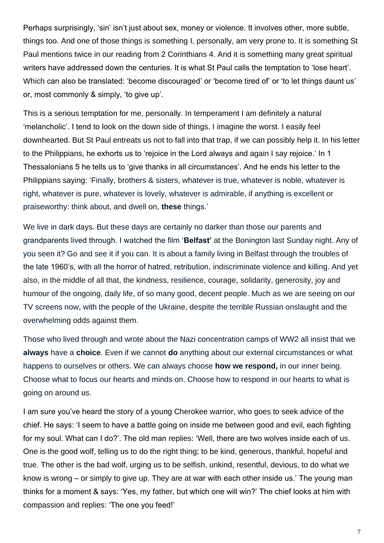Perhaps surprisingly, 'sin' isn't just about sex, money or violence. It involves other, more subtle, things too. And one of those things is something I, personally, am very prone to. It is something St Paul mentions twice in our reading from 2 Corinthians 4. And it is something many great spiritual writers have addressed down the centuries. It is what St Paul calls the temptation to 'lose heart'. Which can also be translated: 'become discouraged' or 'become tired of' or 'to let things daunt us' or, most commonly & simply, 'to give up'.

This is a serious temptation for me, personally. In temperament I am definitely a natural 'melancholic'. I tend to look on the down side of things. I imagine the worst. I easily feel downhearted. But St Paul entreats us not to fall into that trap, if we can possibly help it. In his letter to the Philippians, he exhorts us to 'rejoice in the Lord always and again I say rejoice.' In 1 Thessalonians 5 he tells us to 'give thanks in all circumstances'. And he ends his letter to the Philippians saying: 'Finally, brothers & sisters, whatever is true, whatever is noble, whatever is right, whatever is pure, whatever is lovely, whatever is admirable, if anything is excellent or praiseworthy: think about, and dwell on, **these** things.'

We live in dark days. But these days are certainly no darker than those our parents and grandparents lived through. I watched the film '**Belfast'** at the Bonington last Sunday night. Any of you seen it? Go and see it if you can. It is about a family living in Belfast through the troubles of the late 1960's, with all the horror of hatred, retribution, indiscriminate violence and killing. And yet also, in the middle of all that, the kindness, resilience, courage, solidarity, generosity, joy and humour of the ongoing, daily life, of so many good, decent people. Much as we are seeing on our TV screens now, with the people of the Ukraine, despite the terrible Russian onslaught and the overwhelming odds against them.

Those who lived through and wrote about the Nazi concentration camps of WW2 all insist that we **always** have a **choice**. Even if we cannot **do** anything about our external circumstances or what happens to ourselves or others. We can always choose **how we respond,** in our inner being. Choose what to focus our hearts and minds on. Choose how to respond in our hearts to what is going on around us.

I am sure you've heard the story of a young Cherokee warrior, who goes to seek advice of the chief. He says: 'I seem to have a battle going on inside me between good and evil, each fighting for my soul. What can I do?'. The old man replies: 'Well, there are two wolves inside each of us. One is the good wolf, telling us to do the right thing; to be kind, generous, thankful, hopeful and true. The other is the bad wolf, urging us to be selfish, unkind, resentful, devious, to do what we know is wrong – or simply to give up. They are at war with each other inside us.' The young man thinks for a moment & says: 'Yes, my father, but which one will win?' The chief looks at him with compassion and replies: 'The one you feed!'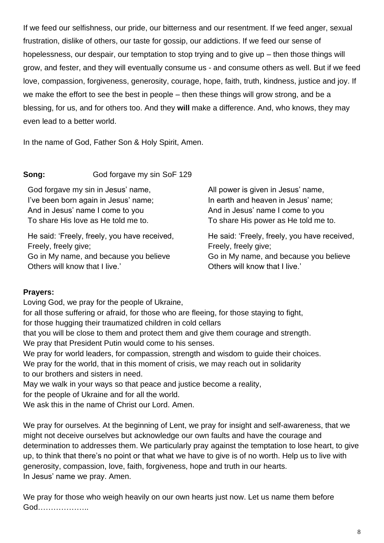If we feed our selfishness, our pride, our bitterness and our resentment. If we feed anger, sexual frustration, dislike of others, our taste for gossip, our addictions. If we feed our sense of hopelessness, our despair, our temptation to stop trying and to give up – then those things will grow, and fester, and they will eventually consume us - and consume others as well. But if we feed love, compassion, forgiveness, generosity, courage, hope, faith, truth, kindness, justice and joy. If we make the effort to see the best in people – then these things will grow strong, and be a blessing, for us, and for others too. And they **will** make a difference. And, who knows, they may even lead to a better world.

In the name of God, Father Son & Holy Spirit, Amen.

# **Song:** God forgave my sin SoF 129

God forgave my sin in Jesus' name, I've been born again in Jesus' name; And in Jesus' name I come to you To share His love as He told me to.

He said: 'Freely, freely, you have received, Freely, freely give; Go in My name, and because you believe Others will know that I live.'

All power is given in Jesus' name, In earth and heaven in Jesus' name; And in Jesus' name I come to you To share His power as He told me to.

He said: 'Freely, freely, you have received, Freely, freely give; Go in My name, and because you believe Others will know that I live.'

#### **Prayers:**

Loving God, we pray for the people of Ukraine,

for all those suffering or afraid, for those who are fleeing, for those staying to fight, for those hugging their traumatized children in cold cellars

that you will be close to them and protect them and give them courage and strength.

We pray that President Putin would come to his senses.

We pray for world leaders, for compassion, strength and wisdom to guide their choices. We pray for the world, that in this moment of crisis, we may reach out in solidarity to our brothers and sisters in need.

May we walk in your ways so that peace and justice become a reality,

for the people of Ukraine and for all the world.

We ask this in the name of Christ our Lord. Amen.

We pray for ourselves. At the beginning of Lent, we pray for insight and self-awareness, that we might not deceive ourselves but acknowledge our own faults and have the courage and determination to addresses them. We particularly pray against the temptation to lose heart, to give up, to think that there's no point or that what we have to give is of no worth. Help us to live with generosity, compassion, love, faith, forgiveness, hope and truth in our hearts. In Jesus' name we pray. Amen.

We pray for those who weigh heavily on our own hearts just now. Let us name them before God………………..